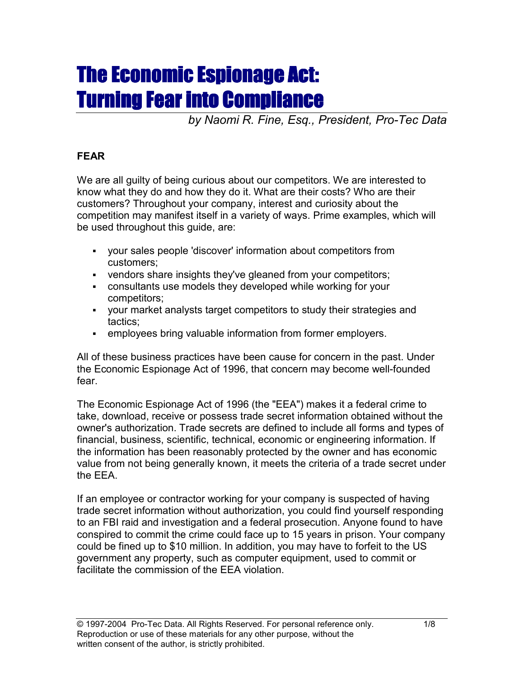# **The Economic Espionage Act:** Turning Fear into Compliance

*by Naomi R. Fine, Esq., President, Pro-Tec Data*

## **FEAR**

We are all guilty of being curious about our competitors. We are interested to know what they do and how they do it. What are their costs? Who are their customers? Throughout your company, interest and curiosity about the competition may manifest itself in a variety of ways. Prime examples, which will be used throughout this guide, are:

- your sales people 'discover' information about competitors from customers;
- vendors share insights they've gleaned from your competitors;
- consultants use models they developed while working for your competitors;
- your market analysts target competitors to study their strategies and tactics;
- employees bring valuable information from former employers.

All of these business practices have been cause for concern in the past. Under the Economic Espionage Act of 1996, that concern may become well-founded fear.

The Economic Espionage Act of 1996 (the "EEA") makes it a federal crime to take, download, receive or possess trade secret information obtained without the owner's authorization. Trade secrets are defined to include all forms and types of financial, business, scientific, technical, economic or engineering information. If the information has been reasonably protected by the owner and has economic value from not being generally known, it meets the criteria of a trade secret under the EEA.

If an employee or contractor working for your company is suspected of having trade secret information without authorization, you could find yourself responding to an FBI raid and investigation and a federal prosecution. Anyone found to have conspired to commit the crime could face up to 15 years in prison. Your company could be fined up to \$10 million. In addition, you may have to forfeit to the US government any property, such as computer equipment, used to commit or facilitate the commission of the EEA violation.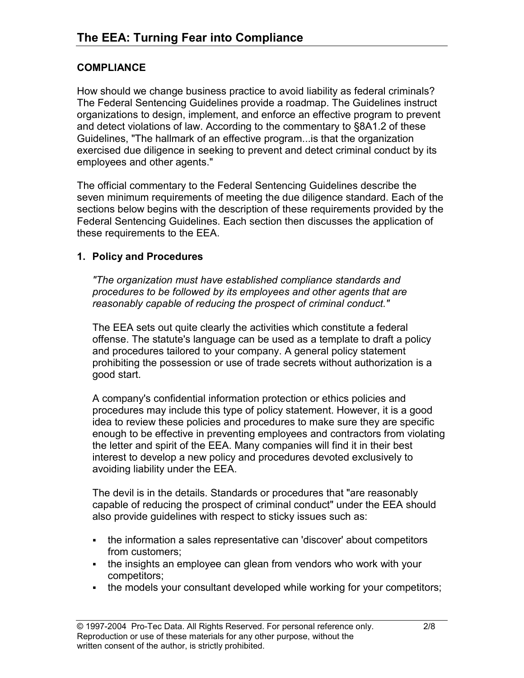### **COMPLIANCE**

How should we change business practice to avoid liability as federal criminals? The Federal Sentencing Guidelines provide a roadmap. The Guidelines instruct organizations to design, implement, and enforce an effective program to prevent and detect violations of law. According to the commentary to §8A1.2 of these Guidelines, "The hallmark of an effective program...is that the organization exercised due diligence in seeking to prevent and detect criminal conduct by its employees and other agents."

The official commentary to the Federal Sentencing Guidelines describe the seven minimum requirements of meeting the due diligence standard. Each of the sections below begins with the description of these requirements provided by the Federal Sentencing Guidelines. Each section then discusses the application of these requirements to the EEA.

## **1. Policy and Procedures**

*"The organization must have established compliance standards and procedures to be followed by its employees and other agents that are reasonably capable of reducing the prospect of criminal conduct."* 

The EEA sets out quite clearly the activities which constitute a federal offense. The statute's language can be used as a template to draft a policy and procedures tailored to your company. A general policy statement prohibiting the possession or use of trade secrets without authorization is a good start.

A company's confidential information protection or ethics policies and procedures may include this type of policy statement. However, it is a good idea to review these policies and procedures to make sure they are specific enough to be effective in preventing employees and contractors from violating the letter and spirit of the EEA. Many companies will find it in their best interest to develop a new policy and procedures devoted exclusively to avoiding liability under the EEA.

The devil is in the details. Standards or procedures that "are reasonably capable of reducing the prospect of criminal conduct" under the EEA should also provide guidelines with respect to sticky issues such as:

- the information a sales representative can 'discover' about competitors from customers;
- the insights an employee can glean from vendors who work with your competitors;
- the models your consultant developed while working for your competitors;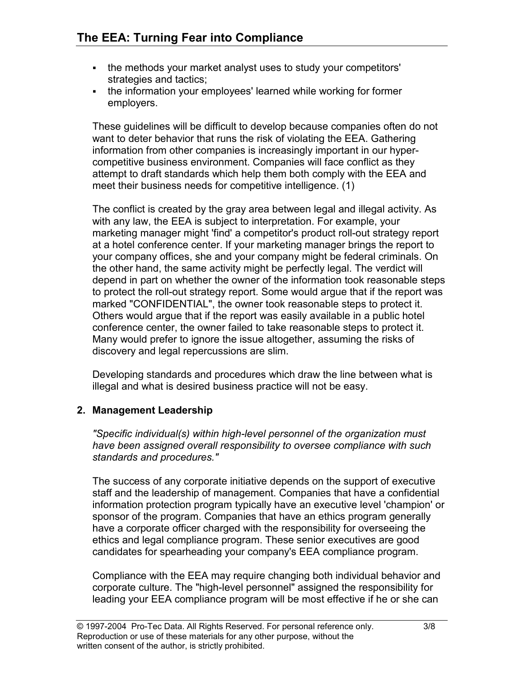- the methods your market analyst uses to study your competitors' strategies and tactics;
- the information your employees' learned while working for former employers.

These guidelines will be difficult to develop because companies often do not want to deter behavior that runs the risk of violating the EEA. Gathering information from other companies is increasingly important in our hypercompetitive business environment. Companies will face conflict as they attempt to draft standards which help them both comply with the EEA and meet their business needs for competitive intelligence. (1)

The conflict is created by the gray area between legal and illegal activity. As with any law, the EEA is subject to interpretation. For example, your marketing manager might 'find' a competitor's product roll-out strategy report at a hotel conference center. If your marketing manager brings the report to your company offices, she and your company might be federal criminals. On the other hand, the same activity might be perfectly legal. The verdict will depend in part on whether the owner of the information took reasonable steps to protect the roll-out strategy report. Some would argue that if the report was marked "CONFIDENTIAL", the owner took reasonable steps to protect it. Others would argue that if the report was easily available in a public hotel conference center, the owner failed to take reasonable steps to protect it. Many would prefer to ignore the issue altogether, assuming the risks of discovery and legal repercussions are slim.

Developing standards and procedures which draw the line between what is illegal and what is desired business practice will not be easy.

### **2. Management Leadership**

*"Specific individual(s) within high-level personnel of the organization must have been assigned overall responsibility to oversee compliance with such standards and procedures."* 

The success of any corporate initiative depends on the support of executive staff and the leadership of management. Companies that have a confidential information protection program typically have an executive level 'champion' or sponsor of the program. Companies that have an ethics program generally have a corporate officer charged with the responsibility for overseeing the ethics and legal compliance program. These senior executives are good candidates for spearheading your company's EEA compliance program.

Compliance with the EEA may require changing both individual behavior and corporate culture. The "high-level personnel" assigned the responsibility for leading your EEA compliance program will be most effective if he or she can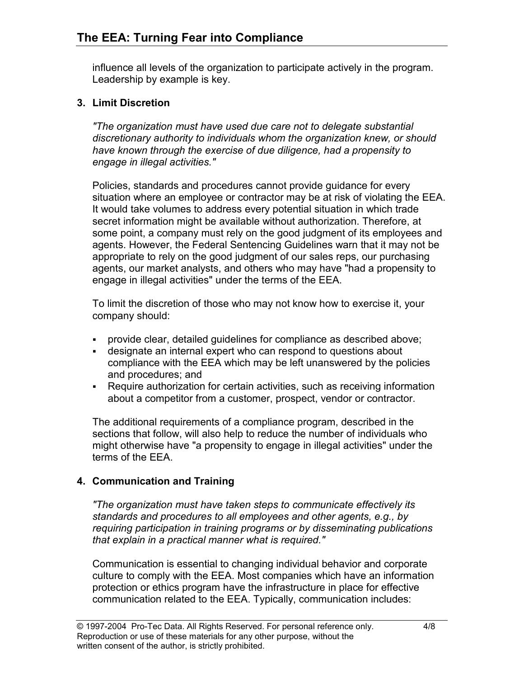influence all levels of the organization to participate actively in the program. Leadership by example is key.

## **3. Limit Discretion**

*"The organization must have used due care not to delegate substantial discretionary authority to individuals whom the organization knew, or should have known through the exercise of due diligence, had a propensity to engage in illegal activities."* 

Policies, standards and procedures cannot provide guidance for every situation where an employee or contractor may be at risk of violating the EEA. It would take volumes to address every potential situation in which trade secret information might be available without authorization. Therefore, at some point, a company must rely on the good judgment of its employees and agents. However, the Federal Sentencing Guidelines warn that it may not be appropriate to rely on the good judgment of our sales reps, our purchasing agents, our market analysts, and others who may have "had a propensity to engage in illegal activities" under the terms of the EEA.

To limit the discretion of those who may not know how to exercise it, your company should:

- provide clear, detailed guidelines for compliance as described above;
- designate an internal expert who can respond to questions about compliance with the EEA which may be left unanswered by the policies and procedures; and
- Require authorization for certain activities, such as receiving information about a competitor from a customer, prospect, vendor or contractor.

The additional requirements of a compliance program, described in the sections that follow, will also help to reduce the number of individuals who might otherwise have "a propensity to engage in illegal activities" under the terms of the EEA.

### **4. Communication and Training**

*"The organization must have taken steps to communicate effectively its standards and procedures to all employees and other agents, e.g., by requiring participation in training programs or by disseminating publications that explain in a practical manner what is required."* 

Communication is essential to changing individual behavior and corporate culture to comply with the EEA. Most companies which have an information protection or ethics program have the infrastructure in place for effective communication related to the EEA. Typically, communication includes: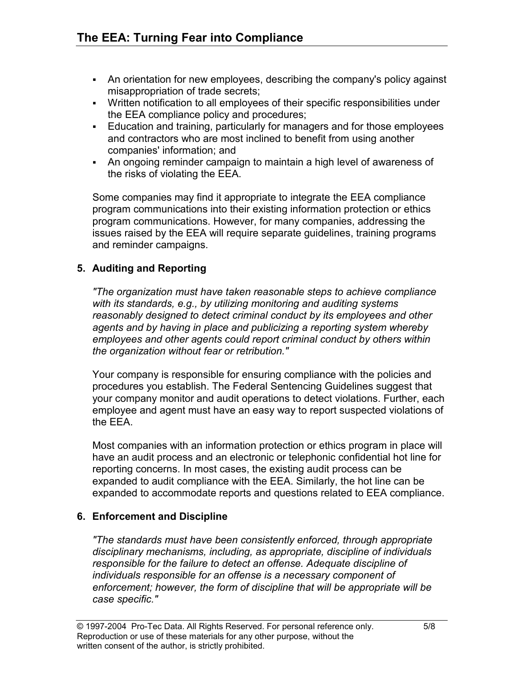- An orientation for new employees, describing the company's policy against misappropriation of trade secrets;
- Written notification to all employees of their specific responsibilities under the EEA compliance policy and procedures;
- Education and training, particularly for managers and for those employees and contractors who are most inclined to benefit from using another companies' information; and
- An ongoing reminder campaign to maintain a high level of awareness of the risks of violating the EEA.

Some companies may find it appropriate to integrate the EEA compliance program communications into their existing information protection or ethics program communications. However, for many companies, addressing the issues raised by the EEA will require separate guidelines, training programs and reminder campaigns.

### **5. Auditing and Reporting**

*"The organization must have taken reasonable steps to achieve compliance with its standards, e.g., by utilizing monitoring and auditing systems reasonably designed to detect criminal conduct by its employees and other agents and by having in place and publicizing a reporting system whereby employees and other agents could report criminal conduct by others within the organization without fear or retribution."* 

Your company is responsible for ensuring compliance with the policies and procedures you establish. The Federal Sentencing Guidelines suggest that your company monitor and audit operations to detect violations. Further, each employee and agent must have an easy way to report suspected violations of the EEA.

Most companies with an information protection or ethics program in place will have an audit process and an electronic or telephonic confidential hot line for reporting concerns. In most cases, the existing audit process can be expanded to audit compliance with the EEA. Similarly, the hot line can be expanded to accommodate reports and questions related to EEA compliance.

### **6. Enforcement and Discipline**

*"The standards must have been consistently enforced, through appropriate disciplinary mechanisms, including, as appropriate, discipline of individuals responsible for the failure to detect an offense. Adequate discipline of individuals responsible for an offense is a necessary component of enforcement; however, the form of discipline that will be appropriate will be case specific."*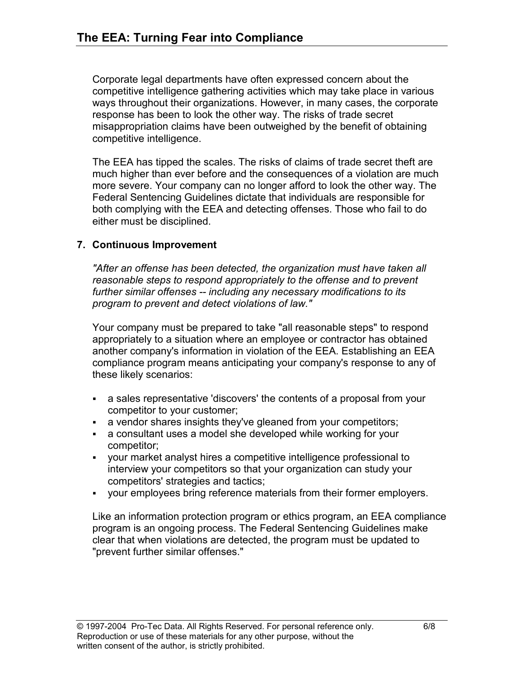Corporate legal departments have often expressed concern about the competitive intelligence gathering activities which may take place in various ways throughout their organizations. However, in many cases, the corporate response has been to look the other way. The risks of trade secret misappropriation claims have been outweighed by the benefit of obtaining competitive intelligence.

The EEA has tipped the scales. The risks of claims of trade secret theft are much higher than ever before and the consequences of a violation are much more severe. Your company can no longer afford to look the other way. The Federal Sentencing Guidelines dictate that individuals are responsible for both complying with the EEA and detecting offenses. Those who fail to do either must be disciplined.

#### **7. Continuous Improvement**

*"After an offense has been detected, the organization must have taken all reasonable steps to respond appropriately to the offense and to prevent further similar offenses -- including any necessary modifications to its program to prevent and detect violations of law."* 

Your company must be prepared to take "all reasonable steps" to respond appropriately to a situation where an employee or contractor has obtained another company's information in violation of the EEA. Establishing an EEA compliance program means anticipating your company's response to any of these likely scenarios:

- a sales representative 'discovers' the contents of a proposal from your competitor to your customer;
- a vendor shares insights they've gleaned from your competitors;
- a consultant uses a model she developed while working for your competitor;
- your market analyst hires a competitive intelligence professional to interview your competitors so that your organization can study your competitors' strategies and tactics;
- your employees bring reference materials from their former employers.

Like an information protection program or ethics program, an EEA compliance program is an ongoing process. The Federal Sentencing Guidelines make clear that when violations are detected, the program must be updated to "prevent further similar offenses."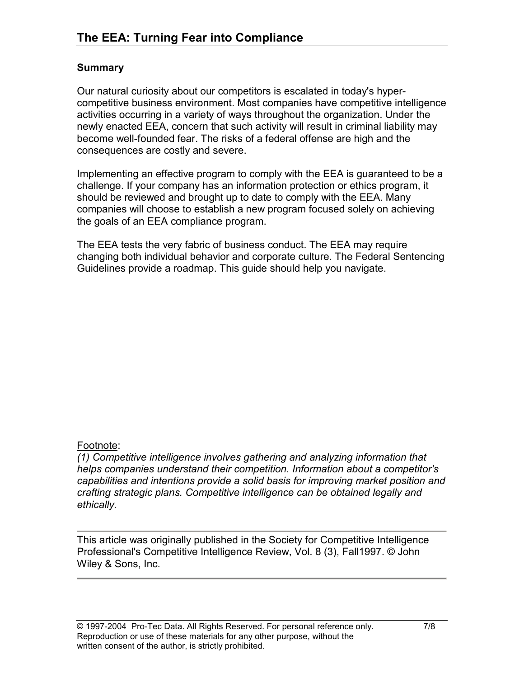### **Summary**

Our natural curiosity about our competitors is escalated in today's hypercompetitive business environment. Most companies have competitive intelligence activities occurring in a variety of ways throughout the organization. Under the newly enacted EEA, concern that such activity will result in criminal liability may become well-founded fear. The risks of a federal offense are high and the consequences are costly and severe.

Implementing an effective program to comply with the EEA is guaranteed to be a challenge. If your company has an information protection or ethics program, it should be reviewed and brought up to date to comply with the EEA. Many companies will choose to establish a new program focused solely on achieving the goals of an EEA compliance program.

The EEA tests the very fabric of business conduct. The EEA may require changing both individual behavior and corporate culture. The Federal Sentencing Guidelines provide a roadmap. This guide should help you navigate.

## Footnote:

*(1) Competitive intelligence involves gathering and analyzing information that helps companies understand their competition. Information about a competitor's capabilities and intentions provide a solid basis for improving market position and crafting strategic plans. Competitive intelligence can be obtained legally and ethically.* 

This article was originally published in the Society for Competitive Intelligence Professional's Competitive Intelligence Review, Vol. 8 (3), Fall1997. © John Wiley & Sons, Inc.